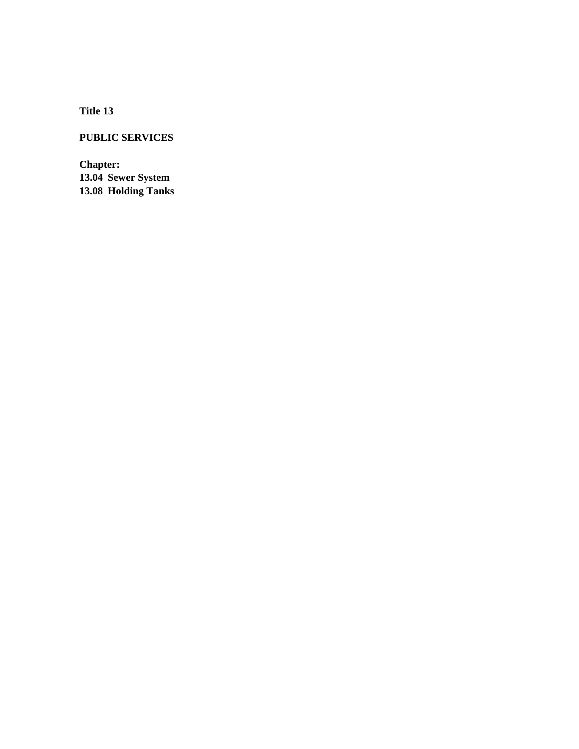**Title 13**

# **PUBLIC SERVICES**

**Chapter: 13.04 Sewer System 13.08 Holding Tanks**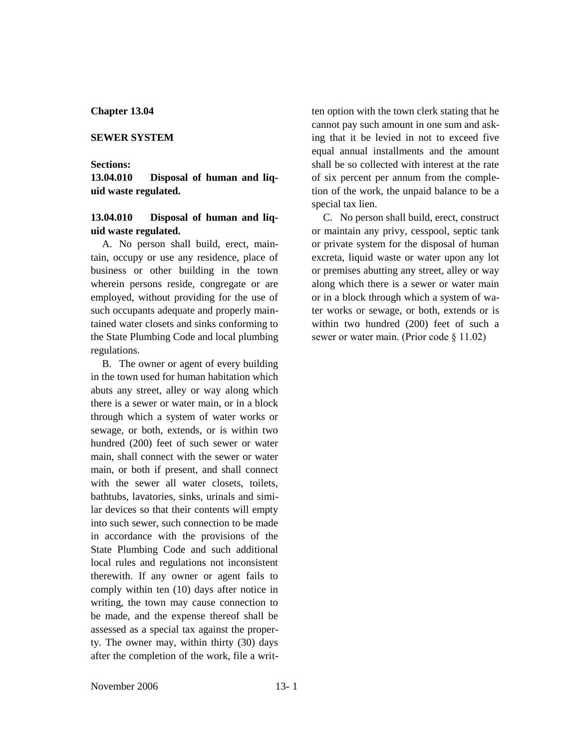#### **Chapter 13.04**

#### **SEWER SYSTEM**

#### **Sections:**

**13.04.010 Disposal of human and liquid waste regulated.**

### **13.04.010 Disposal of human and liquid waste regulated.**

A. No person shall build, erect, maintain, occupy or use any residence, place of business or other building in the town wherein persons reside, congregate or are employed, without providing for the use of such occupants adequate and properly maintained water closets and sinks conforming to the State Plumbing Code and local plumbing regulations.

B. The owner or agent of every building in the town used for human habitation which abuts any street, alley or way along which there is a sewer or water main, or in a block through which a system of water works or sewage, or both, extends, or is within two hundred (200) feet of such sewer or water main, shall connect with the sewer or water main, or both if present, and shall connect with the sewer all water closets, toilets, bathtubs, lavatories, sinks, urinals and similar devices so that their contents will empty into such sewer, such connection to be made in accordance with the provisions of the State Plumbing Code and such additional local rules and regulations not inconsistent therewith. If any owner or agent fails to comply within ten (10) days after notice in writing, the town may cause connection to be made, and the expense thereof shall be assessed as a special tax against the property. The owner may, within thirty (30) days after the completion of the work, file a written option with the town clerk stating that he cannot pay such amount in one sum and asking that it be levied in not to exceed five equal annual installments and the amount shall be so collected with interest at the rate of six percent per annum from the completion of the work, the unpaid balance to be a special tax lien.

C. No person shall build, erect, construct or maintain any privy, cesspool, septic tank or private system for the disposal of human excreta, liquid waste or water upon any lot or premises abutting any street, alley or way along which there is a sewer or water main or in a block through which a system of water works or sewage, or both, extends or is within two hundred (200) feet of such a sewer or water main. (Prior code § 11.02)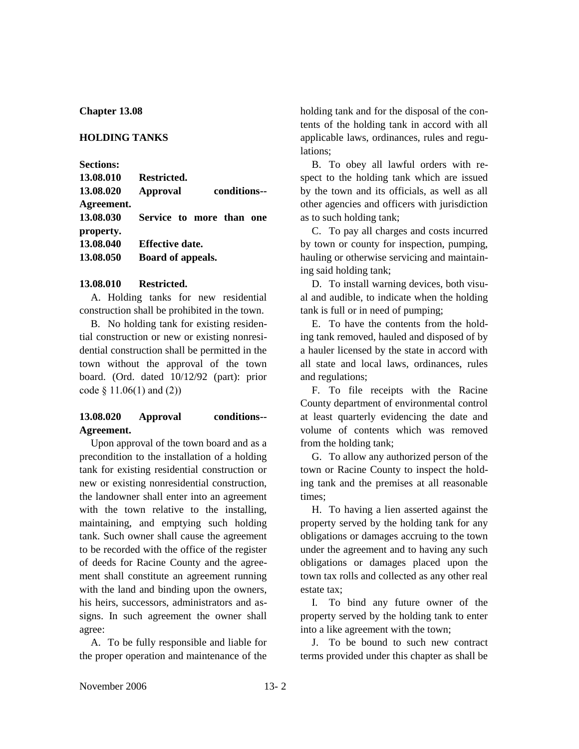#### **Chapter 13.08**

#### **HOLDING TANKS**

**Sections:**

| 13.08.010<br>13.08.020 | Restricted.<br><b>Approval</b> |  | conditions-- |  |
|------------------------|--------------------------------|--|--------------|--|
| Agreement.             |                                |  |              |  |
| 13.08.030              | Service to more than one       |  |              |  |
| property.              |                                |  |              |  |
| 13.08.040              | <b>Effective date.</b>         |  |              |  |
| 13.08.050              | Board of appeals.              |  |              |  |

#### **13.08.010 Restricted.**

A. Holding tanks for new residential construction shall be prohibited in the town.

B. No holding tank for existing residential construction or new or existing nonresidential construction shall be permitted in the town without the approval of the town board. (Ord. dated 10/12/92 (part): prior code § 11.06(1) and (2))

# **13.08.020 Approval conditions-- Agreement.**

Upon approval of the town board and as a precondition to the installation of a holding tank for existing residential construction or new or existing nonresidential construction, the landowner shall enter into an agreement with the town relative to the installing, maintaining, and emptying such holding tank. Such owner shall cause the agreement to be recorded with the office of the register of deeds for Racine County and the agreement shall constitute an agreement running with the land and binding upon the owners. his heirs, successors, administrators and assigns. In such agreement the owner shall agree:

A. To be fully responsible and liable for the proper operation and maintenance of the holding tank and for the disposal of the contents of the holding tank in accord with all applicable laws, ordinances, rules and regulations;

B. To obey all lawful orders with respect to the holding tank which are issued by the town and its officials, as well as all other agencies and officers with jurisdiction as to such holding tank;

C. To pay all charges and costs incurred by town or county for inspection, pumping, hauling or otherwise servicing and maintaining said holding tank;

D. To install warning devices, both visual and audible, to indicate when the holding tank is full or in need of pumping;

E. To have the contents from the holding tank removed, hauled and disposed of by a hauler licensed by the state in accord with all state and local laws, ordinances, rules and regulations;

F. To file receipts with the Racine County department of environmental control at least quarterly evidencing the date and volume of contents which was removed from the holding tank;

G. To allow any authorized person of the town or Racine County to inspect the holding tank and the premises at all reasonable times;

H. To having a lien asserted against the property served by the holding tank for any obligations or damages accruing to the town under the agreement and to having any such obligations or damages placed upon the town tax rolls and collected as any other real estate tax;

I. To bind any future owner of the property served by the holding tank to enter into a like agreement with the town;

J. To be bound to such new contract terms provided under this chapter as shall be